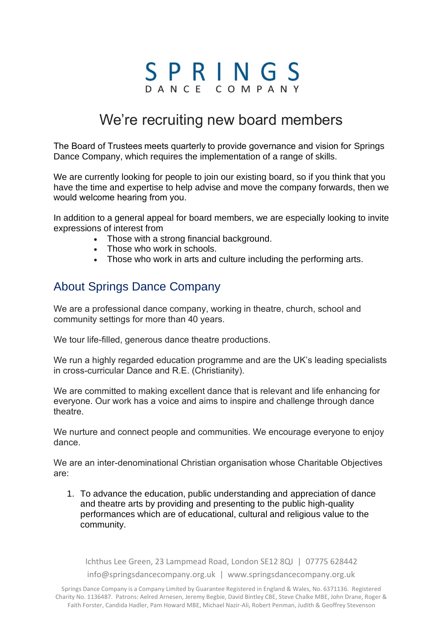# SPRINGS

# We're recruiting new board members

The Board of Trustees meets quarterly to provide governance and vision for Springs Dance Company, which requires the implementation of a range of skills.

We are currently looking for people to join our existing board, so if you think that you have the time and expertise to help advise and move the company forwards, then we would welcome hearing from you. 

In addition to a general appeal for board members, we are especially looking to invite expressions of interest from

- Those with a strong financial background.
- Those who work in schools.
- Those who work in arts and culture including the performing arts.

## About Springs Dance Company

We are a professional dance company, working in theatre, church, school and community settings for more than 40 years.

We tour life-filled, generous dance theatre productions.

We run a highly regarded education programme and are the UK's leading specialists in cross-curricular Dance and R.E. (Christianity).

We are committed to making excellent dance that is relevant and life enhancing for everyone. Our work has a voice and aims to inspire and challenge through dance theatre.

We nurture and connect people and communities. We encourage everyone to enjoy dance.

We are an inter-denominational Christian organisation whose Charitable Objectives are:

1. To advance the education, public understanding and appreciation of dance and theatre arts by providing and presenting to the public high-quality performances which are of educational, cultural and religious value to the community.

Ichthus Lee Green, 23 Lampmead Road, London SE12 8QJ | 07775 628442 info@springsdancecompany.org.uk | www.springsdancecompany.org.uk

Springs Dance Company is a Company Limited by Guarantee Registered in England & Wales, No. 6371136. Registered Charity No. 1136487. Patrons: Aelred Arnesen, Jeremy Begbie, David Bintley CBE, Steve Chalke MBE, John Drane, Roger & Faith Forster, Candida Hadler, Pam Howard MBE, Michael Nazir-Ali, Robert Penman, Judith & Geoffrey Stevenson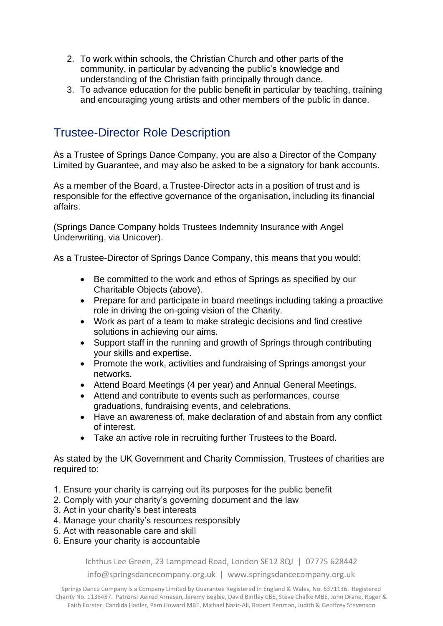- 2. To work within schools, the Christian Church and other parts of the community, in particular by advancing the public's knowledge and understanding of the Christian faith principally through dance.
- 3. To advance education for the public benefit in particular by teaching, training and encouraging young artists and other members of the public in dance.

## Trustee-Director Role Description

As a Trustee of Springs Dance Company, you are also a Director of the Company Limited by Guarantee, and may also be asked to be a signatory for bank accounts.

As a member of the Board, a Trustee-Director acts in a position of trust and is responsible for the effective governance of the organisation, including its financial affairs.

(Springs Dance Company holds Trustees Indemnity Insurance with Angel Underwriting, via Unicover).

As a Trustee-Director of Springs Dance Company, this means that you would:

- Be committed to the work and ethos of Springs as specified by our Charitable Objects (above).
- Prepare for and participate in board meetings including taking a proactive role in driving the on-going vision of the Charity.
- Work as part of a team to make strategic decisions and find creative solutions in achieving our aims.
- Support staff in the running and growth of Springs through contributing your skills and expertise.
- Promote the work, activities and fundraising of Springs amongst your networks.
- Attend Board Meetings (4 per year) and Annual General Meetings.
- Attend and contribute to events such as performances, course graduations, fundraising events, and celebrations.
- Have an awareness of, make declaration of and abstain from any conflict of interest.
- Take an active role in recruiting further Trustees to the Board.

As stated by the UK Government and Charity Commission, Trustees of charities are required to:

- 1. Ensure your charity is carrying out its purposes for the public benefit
- 2. Comply with your charity's governing document and the law
- 3. Act in your charity's best interests
- 4. Manage your charity's resources responsibly
- 5. Act with reasonable care and skill
- 6. Ensure your charity is accountable

Ichthus Lee Green, 23 Lampmead Road, London SE12 8QJ | 07775 628442

info@springsdancecompany.org.uk | www.springsdancecompany.org.uk

Springs Dance Company is a Company Limited by Guarantee Registered in England & Wales, No. 6371136. Registered Charity No. 1136487. Patrons: Aelred Arnesen, Jeremy Begbie, David Bintley CBE, Steve Chalke MBE, John Drane, Roger & Faith Forster, Candida Hadler, Pam Howard MBE, Michael Nazir-Ali, Robert Penman, Judith & Geoffrey Stevenson